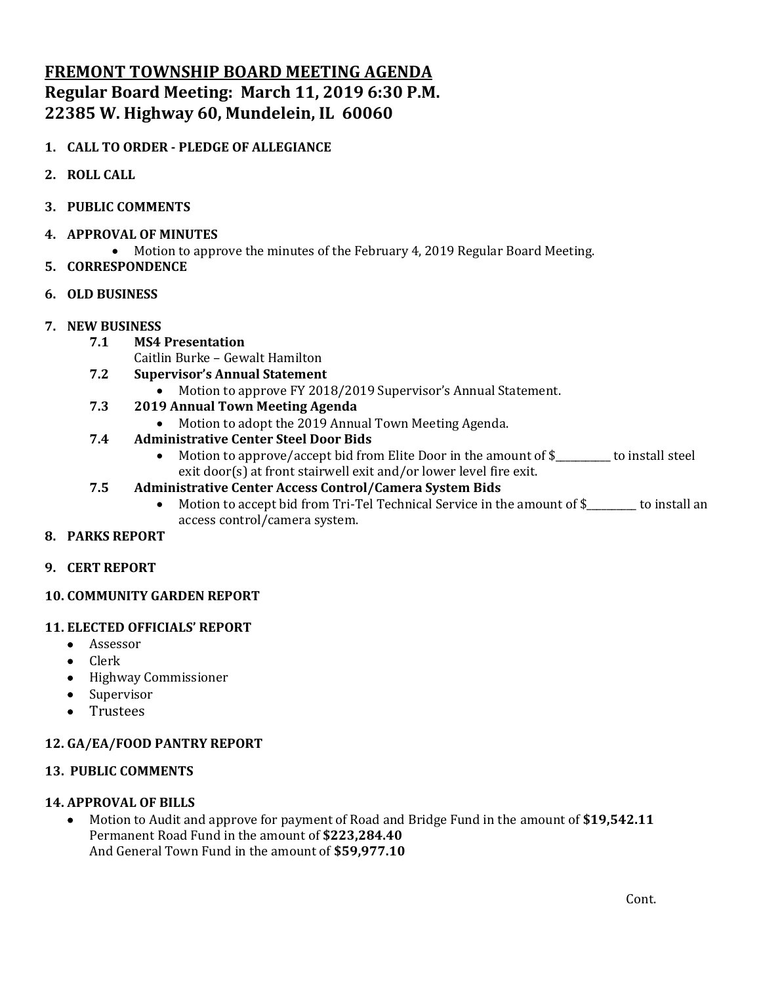# **FREMONT TOWNSHIP BOARD MEETING AGENDA Regular Board Meeting: March 11, 2019 6:30 P.M. 22385 W. Highway 60, Mundelein, IL 60060**

# **1. CALL TO ORDER - PLEDGE OF ALLEGIANCE**

- **2. ROLL CALL**
- **3. PUBLIC COMMENTS**

### **4. APPROVAL OF MINUTES**

- Motion to approve the minutes of the February 4, 2019 Regular Board Meeting.
- **5. CORRESPONDENCE**
- **6. OLD BUSINESS**
- **7. NEW BUSINESS**
	- **7.1 MS4 Presentation** 
		- Caitlin Burke Gewalt Hamilton
	- **7.2 Supervisor's Annual Statement**
		- Motion to approve FY 2018/2019 Supervisor's Annual Statement.
	- **7.3 2019 Annual Town Meeting Agenda**
		- Motion to adopt the 2019 Annual Town Meeting Agenda.

## **7.4 Administrative Center Steel Door Bids**

- Motion to approve/accept bid from Elite Door in the amount of \$\_\_\_\_\_\_\_\_\_ to install steel exit door(s) at front stairwell exit and/or lower level fire exit.
- **7.5 Administrative Center Access Control/Camera System Bids**
	- Motion to accept bid from Tri-Tel Technical Service in the amount of \$ storms to install an access control/camera system.
- **8. PARKS REPORT**
- **9. CERT REPORT**

## **10. COMMUNITY GARDEN REPORT**

#### **11. ELECTED OFFICIALS' REPORT**

- Assessor
- Clerk
- Highway Commissioner
- Supervisor
- Trustees

## **12. GA/EA/FOOD PANTRY REPORT**

#### **13. PUBLIC COMMENTS**

#### **14. APPROVAL OF BILLS**

• Motion to Audit and approve for payment of Road and Bridge Fund in the amount of **\$19,542.11** Permanent Road Fund in the amount of **\$223,284.40** And General Town Fund in the amount of **\$59,977.10**